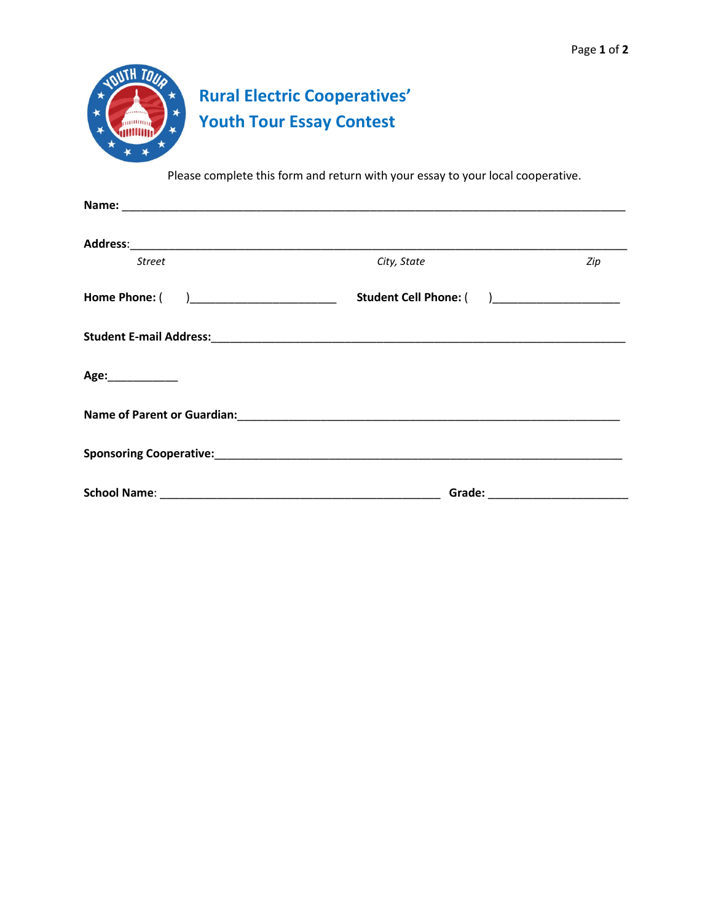

Please complete this form and return with your essay to your local cooperative.

| <b>Street</b>                           | City, State                                                                                                    | Zip                                                                                                                                                                                                                            |
|-----------------------------------------|----------------------------------------------------------------------------------------------------------------|--------------------------------------------------------------------------------------------------------------------------------------------------------------------------------------------------------------------------------|
| Home Phone: ( )________________________ | Student Cell Phone: ( )_____________________                                                                   |                                                                                                                                                                                                                                |
|                                         |                                                                                                                |                                                                                                                                                                                                                                |
| Age:____________                        |                                                                                                                |                                                                                                                                                                                                                                |
|                                         |                                                                                                                |                                                                                                                                                                                                                                |
|                                         | Sponsoring Cooperative: Manual Cooperative: Manual Cooperative Cooperative Cooperative Cooperative Cooperative |                                                                                                                                                                                                                                |
|                                         |                                                                                                                | Grade: with the contract of the contract of the contract of the contract of the contract of the contract of the contract of the contract of the contract of the contract of the contract of the contract of the contract of th |